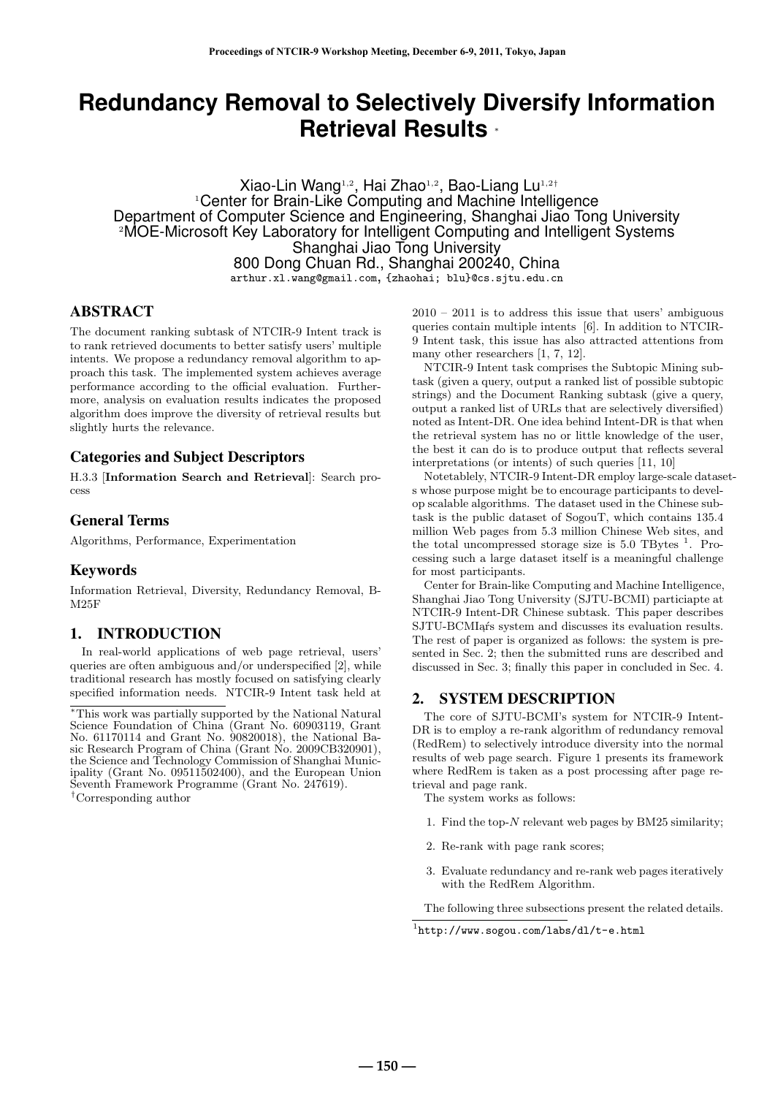# **Redundancy Removal to Selectively Diversify Information Retrieval Results** *<sup>∗</sup>*

Xiao-Lin Wang1*,*<sup>2</sup> , Hai Zhao1*,*<sup>2</sup> , Bao-Liang Lu1*,*2*†* <sup>1</sup>Center for Brain-Like Computing and Machine Intelligence Department of Computer Science and Engineering, Shanghai Jiao Tong University <sup>2</sup>MOE-Microsoft Key Laboratory for Intelligent Computing and Intelligent Systems Shanghai Jiao Tong University 800 Dong Chuan Rd., Shanghai 200240, China arthur.xl.wang@gmail.com, {zhaohai; blu}@cs.sjtu.edu.cn

# ABSTRACT

The document ranking subtask of NTCIR-9 Intent track is to rank retrieved documents to better satisfy users' multiple intents. We propose a redundancy removal algorithm to approach this task. The implemented system achieves average performance according to the official evaluation. Furthermore, analysis on evaluation results indicates the proposed algorithm does improve the diversity of retrieval results but slightly hurts the relevance.

# Categories and Subject Descriptors

H.3.3 [**Information Search and Retrieval**]: Search process

# General Terms

Algorithms, Performance, Experimentation

# Keywords

Information Retrieval, Diversity, Redundancy Removal, B-M25F

# 1. INTRODUCTION

In real-world applications of web page retrieval, users' queries are often ambiguous and/or underspecified [2], while traditional research has mostly focused on satisfying clearly specified information needs. NTCIR-9 Intent task held at

*†*Corresponding author

 $2010 - 2011$  is to address this issue that users' ambiguous queries contain multiple intents [6]. In addition to NTCIR-9 Intent task, this issue has also attracted attentions from many other researchers [1, 7, 12].

NTCIR-9 Intent task comprises the Subtopic Mining subtask (given a query, output a ranked list of possible subtopic strings) and the Document Ranking subtask (give a query, output a ranked list of URLs that are selectively diversified) noted as Intent-DR. One idea behind Intent-DR is that when the retrieval system has no or little knowledge of the user, the best it can do is to produce output that reflects several interpretations (or intents) of such queries [11, 10]

Notetablely, NTCIR-9 Intent-DR employ large-scale datasets whose purpose might be to encourage participants to develop scalable algorithms. The dataset used in the Chinese subtask is the public dataset of SogouT, which contains 135.4 million Web pages from 5.3 million Chinese Web sites, and the total uncompressed storage size is  $5.0$  TBytes<sup>1</sup>. Processing such a large dataset itself is a meaningful challenge for most participants.

Center for Brain-like Computing and Machine Intelligence, Shanghai Jiao Tong University (SJTU-BCMI) particiapte at NTCIR-9 Intent-DR Chinese subtask. This paper describes SJTU-BCMI afs system and discusses its evaluation results. The rest of paper is organized as follows: the system is presented in Sec. 2; then the submitted runs are described and discussed in Sec. 3; finally this paper in concluded in Sec. 4.

# 2. SYSTEM DESCRIPTION

The core of SJTU-BCMI's system for NTCIR-9 Intent-DR is to employ a re-rank algorithm of redundancy removal (RedRem) to selectively introduce diversity into the normal results of web page search. Figure 1 presents its framework where RedRem is taken as a post processing after page retrieval and page rank.

The system works as follows:

- 1. Find the top-*N* relevant web pages by BM25 similarity;
- 2. Re-rank with page rank scores;
- 3. Evaluate redundancy and re-rank web pages iteratively with the RedRem Algorithm.

The following three subsections present the related details.

*<sup>∗</sup>*This work was partially supported by the National Natural Science Foundation of China (Grant No. 60903119, Grant No. 61170114 and Grant No. 90820018), the National Basic Research Program of China (Grant No. 2009CB320901), the Science and Technology Commission of Shanghai Municipality (Grant No. 09511502400), and the European Union Seventh Framework Programme (Grant No. 247619).

<sup>1</sup> http://www.sogou.com/labs/dl/t-e.html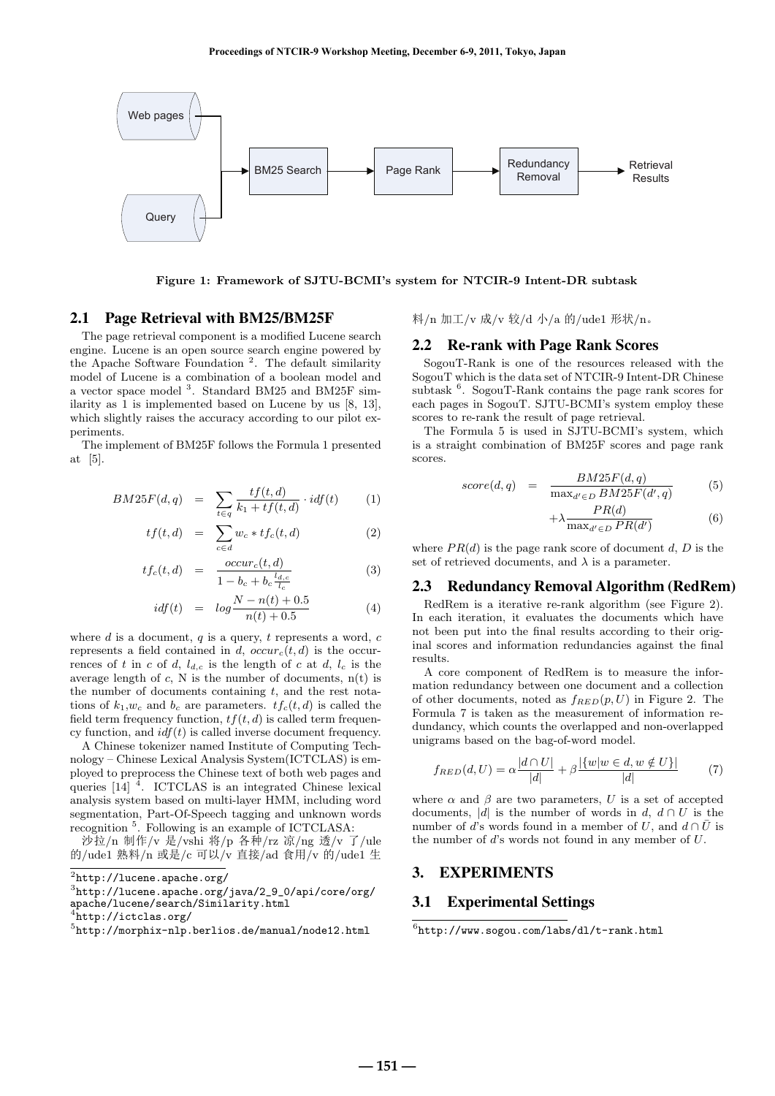

**Figure 1: Framework of SJTU-BCMI's system for NTCIR-9 Intent-DR subtask**

## 2.1 Page Retrieval with BM25/BM25F

The page retrieval component is a modified Lucene search engine. Lucene is an open source search engine powered by the Apache Software Foundation<sup>2</sup>. The default similarity model of Lucene is a combination of a boolean model and a vector space model<sup>3</sup>. Standard BM25 and BM25F similarity as 1 is implemented based on Lucene by us [8, 13], which slightly raises the accuracy according to our pilot experiments.

The implement of BM25F follows the Formula 1 presented at [5].

$$
BM25F(d,q) = \sum_{t \in q} \frac{tf(t,d)}{k_1 + tf(t,d)} \cdot idf(t) \tag{1}
$$

$$
tf(t,d) = \sum_{c \in d} w_c * tf_c(t,d)
$$
 (2)

$$
tf_c(t,d) = \frac{occur_c(t,d)}{1 - b_c + b_c \frac{l_{d,c}}{l_c}} \tag{3}
$$

$$
idf(t) = log \frac{N - n(t) + 0.5}{n(t) + 0.5}
$$
 (4)

where *d* is a document, *q* is a query, *t* represents a word, *c* represents a field contained in *d*,  $occur_c(t, d)$  is the occurrences of *t* in *c* of *d*,  $l_{d,c}$  is the length of *c* at *d*,  $l_c$  is the average length of  $c$ , N is the number of documents,  $n(t)$  is the number of documents containing *t*, and the rest notations of  $k_1, w_c$  and  $b_c$  are parameters.  $tf_c(t, d)$  is called the field term frequency function,  $tf(t, d)$  is called term frequency function, and  $\mathrm{i} df(t)$  is called inverse document frequency.

A Chinese tokenizer named Institute of Computing Technology – Chinese Lexical Analysis System(ICTCLAS) is employed to preprocess the Chinese text of both web pages and queries  $\begin{bmatrix} 14 \end{bmatrix}$ <sup>4</sup>. ICTCLAS is an integrated Chinese lexical analysis system based on multi-layer HMM, including word segmentation, Part-Of-Speech tagging and unknown words recognition <sup>5</sup>. Following is an example of ICTCLASA:

沙拉/n 制作/v 是/vshi 将/p 各种/rz 凉/ng 透/v 了/ule 的/ude1 熟料/n 或是/c 可以/v 直接/ad 食用/v 的/ude1 生

料/n 加工/v 成/v 较/d 小/a 的/ude1 形状/n。

#### 2.2 Re-rank with Page Rank Scores

SogouT-Rank is one of the resources released with the SogouT which is the data set of NTCIR-9 Intent-DR Chinese subtask <sup>6</sup>. SogouT-Rank contains the page rank scores for each pages in SogouT. SJTU-BCMI's system employ these scores to re-rank the result of page retrieval.

The Formula 5 is used in SJTU-BCMI's system, which is a straight combination of BM25F scores and page rank scores.

$$
score(d,q) = \frac{BM25F(d,q)}{\max_{d' \in D} BM25F(d',q)}
$$
(5)

$$
+\lambda \frac{PR(d)}{\max_{d' \in D} PR(d')} \tag{6}
$$

where  $PR(d)$  is the page rank score of document  $d, D$  is the set of retrieved documents, and  $\lambda$  is a parameter.

#### 2.3 Redundancy Removal Algorithm (RedRem)

RedRem is a iterative re-rank algorithm (see Figure 2). In each iteration, it evaluates the documents which have not been put into the final results according to their original scores and information redundancies against the final results.

A core component of RedRem is to measure the information redundancy between one document and a collection of other documents, noted as *fRED*(*p, U*) in Figure 2. The Formula 7 is taken as the measurement of information redundancy, which counts the overlapped and non-overlapped unigrams based on the bag-of-word model.

$$
f_{RED}(d, U) = \alpha \frac{|d \cap U|}{|d|} + \beta \frac{|\{w|w \in d, w \notin U\}|}{|d|}
$$
(7)

where  $\alpha$  and  $\beta$  are two parameters, U is a set of accepted documents,  $|d|$  is the number of words in  $d$ ,  $d \cap U$  is the number of *d*'s words found in a member of *U*, and  $d \cap \overline{U}$  is the number of *d*'s words not found in any member of *U*.

# 3. EXPERIMENTS

# 3.1 Experimental Settings

 $^2$ http:// $1$ ucene.apache.org/

 $^3$ http://lucene.apache.org/java/2\_9\_0/api/core/org/ apache/lucene/search/Similarity.html

<sup>4</sup> http://ictclas.org/

<sup>5</sup> http://morphix-nlp.berlios.de/manual/node12.html

 $^6$ http://www.sogou.com/labs/dl/t-rank.html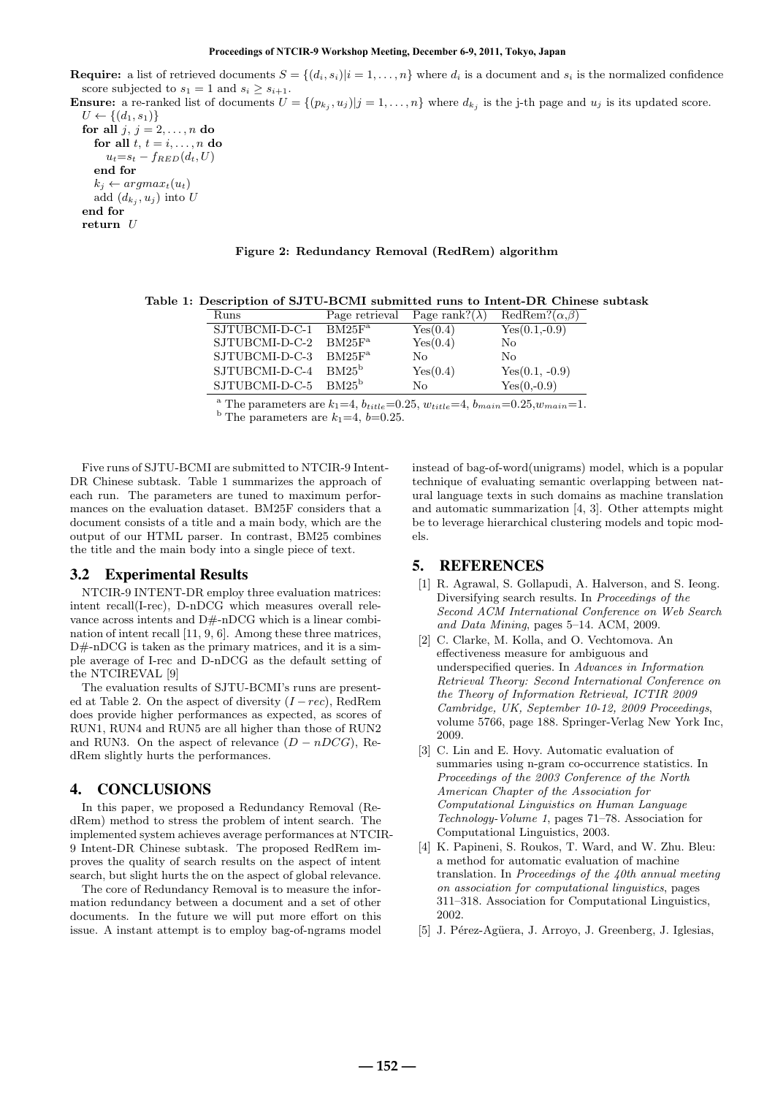#### **Proceedings of NTCIR-9 Workshop Meeting, December 6-9, 2011, Tokyo, Japan**

**Require:** a list of retrieved documents  $S = \{(d_i, s_i)|i = 1, ..., n\}$  where  $d_i$  is a document and  $s_i$  is the normalized confidence score subjected to  $s_1 = 1$  and  $s_i \geq s_{i+1}$ .

**Ensure:** a re-ranked list of documents  $U = \{(p_{k_j}, u_j) | j = 1, ..., n\}$  where  $d_{k_j}$  is the j-th page and  $u_j$  is its updated score.

*U* ← { $(d_1, s_1)$ } **for all**  $j, j = 2, ..., n$  **do** for all  $t, t = i, \ldots, n$  do  $u_t = s_t - f_{RED}(d_t, U)$ **end for**  $k_j \leftarrow argmax_t(u_t)$ add  $(d_{k_j}, u_j)$  into  $U$ **end for return** *U*

#### **Figure 2: Redundancy Removal (RedRem) algorithm**

**Table 1: Description of SJTU-BCMI submitted runs to Intent-DR Chinese subtask**

| Runs           | Page retrieval | Page rank?( $\lambda$ ) | $RedRem?(\alpha,\beta)$ |
|----------------|----------------|-------------------------|-------------------------|
| SJTUBCMI-D-C-1 | $BM25F^a$      | Yes(0.4)                | $Yes(0.1,-0.9)$         |
| SJTUBCMI-D-C-2 | $BM25F^a$      | Yes(0.4)                | No                      |
| SJTUBCMI-D-C-3 | $BM25F^a$      | Nο                      | No                      |
| SJTUBCMI-D-C-4 | $BM25^b$       | Yes(0.4)                | $Yes(0.1, -0.9)$        |
| SJTUBCMI-D-C-5 | $BM25^b$       | Nο                      | $Yes(0,-0.9)$           |

<sup>a</sup> The parameters are  $k_1$ =4,  $b_{title}$ =0.25,  $w_{title}$ =4,  $b_{main}$ =0.25,  $w_{main}$ =1.

<sup>b</sup> The parameters are  $k_1=4, b=0.25$ .

Five runs of SJTU-BCMI are submitted to NTCIR-9 Intent-DR Chinese subtask. Table 1 summarizes the approach of each run. The parameters are tuned to maximum performances on the evaluation dataset. BM25F considers that a document consists of a title and a main body, which are the output of our HTML parser. In contrast, BM25 combines the title and the main body into a single piece of text.

#### 3.2 Experimental Results

NTCIR-9 INTENT-DR employ three evaluation matrices: intent recall(I-rec), D-nDCG which measures overall relevance across intents and D#-nDCG which is a linear combination of intent recall [11, 9, 6]. Among these three matrices, D#-nDCG is taken as the primary matrices, and it is a simple average of I-rec and D-nDCG as the default setting of the NTCIREVAL [9]

The evaluation results of SJTU-BCMI's runs are presented at Table 2. On the aspect of diversity (*I −rec*), RedRem does provide higher performances as expected, as scores of RUN1, RUN4 and RUN5 are all higher than those of RUN2 and RUN3. On the aspect of relevance  $(D - nDCG)$ , RedRem slightly hurts the performances.

# 4. CONCLUSIONS

In this paper, we proposed a Redundancy Removal (RedRem) method to stress the problem of intent search. The implemented system achieves average performances at NTCIR-9 Intent-DR Chinese subtask. The proposed RedRem improves the quality of search results on the aspect of intent search, but slight hurts the on the aspect of global relevance.

The core of Redundancy Removal is to measure the information redundancy between a document and a set of other documents. In the future we will put more effort on this issue. A instant attempt is to employ bag-of-ngrams model instead of bag-of-word(unigrams) model, which is a popular technique of evaluating semantic overlapping between natural language texts in such domains as machine translation and automatic summarization [4, 3]. Other attempts might be to leverage hierarchical clustering models and topic models.

# 5. REFERENCES

- [1] R. Agrawal, S. Gollapudi, A. Halverson, and S. Ieong. Diversifying search results. In *Proceedings of the Second ACM International Conference on Web Search and Data Mining*, pages 5–14. ACM, 2009.
- [2] C. Clarke, M. Kolla, and O. Vechtomova. An effectiveness measure for ambiguous and underspecified queries. In *Advances in Information Retrieval Theory: Second International Conference on the Theory of Information Retrieval, ICTIR 2009 Cambridge, UK, September 10-12, 2009 Proceedings*, volume 5766, page 188. Springer-Verlag New York Inc, 2009.
- [3] C. Lin and E. Hovy. Automatic evaluation of summaries using n-gram co-occurrence statistics. In *Proceedings of the 2003 Conference of the North American Chapter of the Association for Computational Linguistics on Human Language Technology-Volume 1*, pages 71–78. Association for Computational Linguistics, 2003.
- [4] K. Papineni, S. Roukos, T. Ward, and W. Zhu. Bleu: a method for automatic evaluation of machine translation. In *Proceedings of the 40th annual meeting on association for computational linguistics*, pages 311–318. Association for Computational Linguistics, 2002.
- [5] J. Pérez-Agüera, J. Arroyo, J. Greenberg, J. Iglesias,

**― 152 ―**